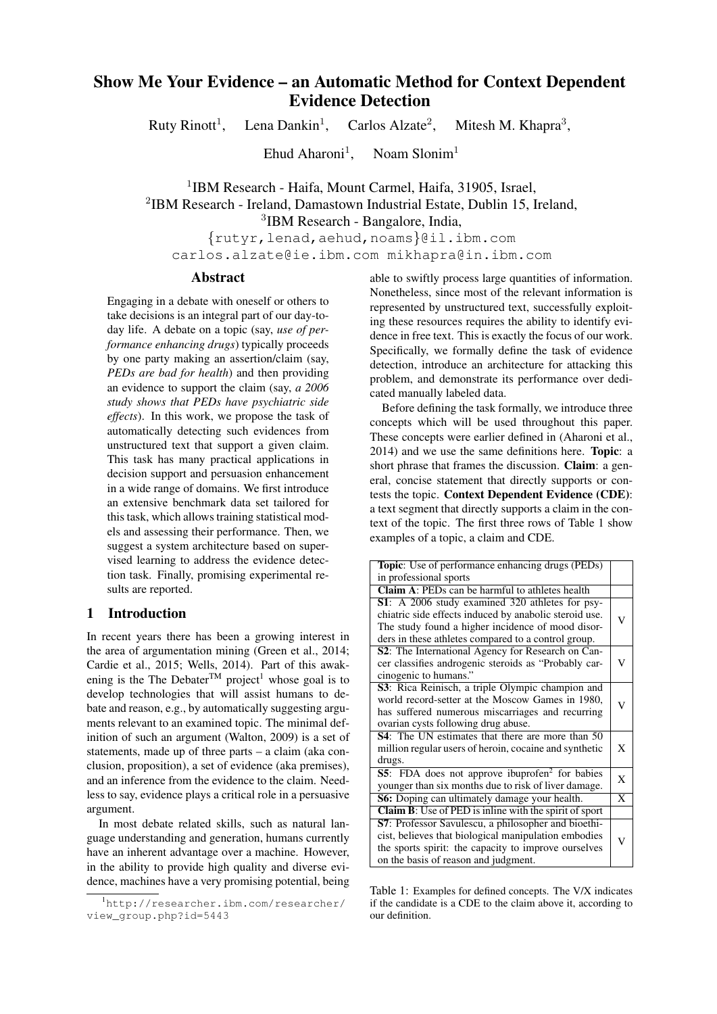# Show Me Your Evidence – an Automatic Method for Context Dependent Evidence Detection

Ruty Rinott<sup>1</sup>, Lena Dankin<sup>1</sup>, Carlos Alzate<sup>2</sup>. , Mitesh M. Khapra<sup>3</sup>,

> Ehud Aharoni<sup>1</sup>, Noam  $Slonim<sup>1</sup>$

<sup>1</sup>IBM Research - Haifa, Mount Carmel, Haifa, 31905, Israel, 2 IBM Research - Ireland, Damastown Industrial Estate, Dublin 15, Ireland, 3 IBM Research - Bangalore, India,

{rutyr,lenad,aehud,noams}@il.ibm.com carlos.alzate@ie.ibm.com mikhapra@in.ibm.com

# Abstract

Engaging in a debate with oneself or others to take decisions is an integral part of our day-today life. A debate on a topic (say, *use of performance enhancing drugs*) typically proceeds by one party making an assertion/claim (say, *PEDs are bad for health*) and then providing an evidence to support the claim (say, *a 2006 study shows that PEDs have psychiatric side effects*). In this work, we propose the task of automatically detecting such evidences from unstructured text that support a given claim. This task has many practical applications in decision support and persuasion enhancement in a wide range of domains. We first introduce an extensive benchmark data set tailored for this task, which allows training statistical models and assessing their performance. Then, we suggest a system architecture based on supervised learning to address the evidence detection task. Finally, promising experimental results are reported.

### 1 Introduction

In recent years there has been a growing interest in the area of argumentation mining (Green et al., 2014; Cardie et al., 2015; Wells, 2014). Part of this awakening is the The Debater<sup>TM</sup> project<sup>1</sup> whose goal is to develop technologies that will assist humans to debate and reason, e.g., by automatically suggesting arguments relevant to an examined topic. The minimal definition of such an argument (Walton, 2009) is a set of statements, made up of three parts – a claim (aka conclusion, proposition), a set of evidence (aka premises), and an inference from the evidence to the claim. Needless to say, evidence plays a critical role in a persuasive argument.

In most debate related skills, such as natural language understanding and generation, humans currently have an inherent advantage over a machine. However, in the ability to provide high quality and diverse evidence, machines have a very promising potential, being able to swiftly process large quantities of information. Nonetheless, since most of the relevant information is represented by unstructured text, successfully exploiting these resources requires the ability to identify evidence in free text. This is exactly the focus of our work. Specifically, we formally define the task of evidence detection, introduce an architecture for attacking this problem, and demonstrate its performance over dedicated manually labeled data.

Before defining the task formally, we introduce three concepts which will be used throughout this paper. These concepts were earlier defined in (Aharoni et al., 2014) and we use the same definitions here. Topic: a short phrase that frames the discussion. Claim: a general, concise statement that directly supports or contests the topic. Context Dependent Evidence (CDE): a text segment that directly supports a claim in the context of the topic. The first three rows of Table 1 show examples of a topic, a claim and CDE.

| Topic: Use of performance enhancing drugs (PEDs)                   |   |
|--------------------------------------------------------------------|---|
| in professional sports                                             |   |
| <b>Claim A:</b> PEDs can be harmful to athletes health             |   |
| S1: A 2006 study examined 320 athletes for psy-                    |   |
| chiatric side effects induced by anabolic steroid use.             |   |
| The study found a higher incidence of mood disor-                  |   |
| ders in these athletes compared to a control group.                |   |
| S2: The International Agency for Research on Can-                  |   |
| cer classifies androgenic steroids as "Probably car-               | V |
| cinogenic to humans."                                              |   |
| <b>S3</b> : Rica Reinisch, a triple Olympic champion and           |   |
| world record-setter at the Moscow Games in 1980,                   | V |
| has suffered numerous miscarriages and recurring                   |   |
| ovarian cysts following drug abuse.                                |   |
| <b>S4</b> : The UN estimates that there are more than 50           |   |
| million regular users of heroin, cocaine and synthetic             | X |
| drugs.                                                             |   |
| <b>S5</b> : FDA does not approve ibuprofen <sup>2</sup> for babies | X |
| younger than six months due to risk of liver damage.               |   |
| S6: Doping can ultimately damage your health.                      | X |
| <b>Claim B:</b> Use of PED is inline with the spirit of sport      |   |
| S7: Professor Savulescu, a philosopher and bioethi-                |   |
| cist, believes that biological manipulation embodies               |   |
| the sports spirit: the capacity to improve ourselves               |   |
| on the basis of reason and judgment.                               |   |

Table 1: Examples for defined concepts. The V/X indicates if the candidate is a CDE to the claim above it, according to our definition.

<sup>&</sup>lt;sup>1</sup>http://researcher.ibm.com/researcher/ view\_group.php?id=5443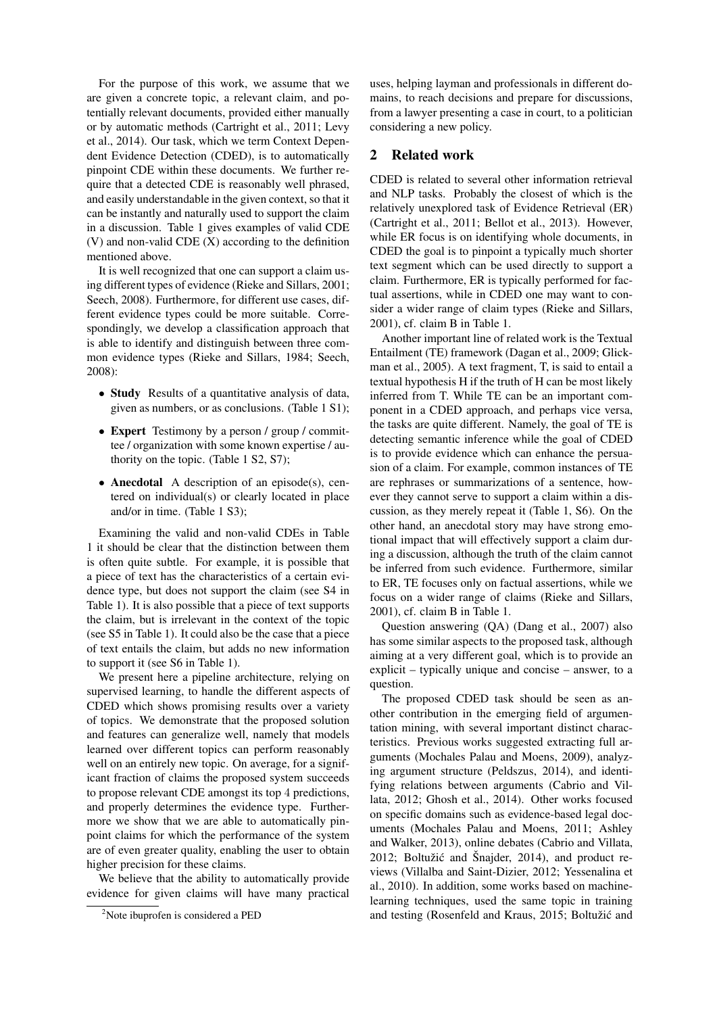For the purpose of this work, we assume that we are given a concrete topic, a relevant claim, and potentially relevant documents, provided either manually or by automatic methods (Cartright et al., 2011; Levy et al., 2014). Our task, which we term Context Dependent Evidence Detection (CDED), is to automatically pinpoint CDE within these documents. We further require that a detected CDE is reasonably well phrased, and easily understandable in the given context, so that it can be instantly and naturally used to support the claim in a discussion. Table 1 gives examples of valid CDE (V) and non-valid CDE (X) according to the definition mentioned above.

It is well recognized that one can support a claim using different types of evidence (Rieke and Sillars, 2001; Seech, 2008). Furthermore, for different use cases, different evidence types could be more suitable. Correspondingly, we develop a classification approach that is able to identify and distinguish between three common evidence types (Rieke and Sillars, 1984; Seech, 2008):

- Study Results of a quantitative analysis of data, given as numbers, or as conclusions. (Table 1 S1);
- Expert Testimony by a person / group / committee / organization with some known expertise / authority on the topic. (Table 1 S2, S7);
- **Anecdotal** A description of an episode(s), centered on individual(s) or clearly located in place and/or in time. (Table 1 S3);

Examining the valid and non-valid CDEs in Table 1 it should be clear that the distinction between them is often quite subtle. For example, it is possible that a piece of text has the characteristics of a certain evidence type, but does not support the claim (see S4 in Table 1). It is also possible that a piece of text supports the claim, but is irrelevant in the context of the topic (see S5 in Table 1). It could also be the case that a piece of text entails the claim, but adds no new information to support it (see S6 in Table 1).

We present here a pipeline architecture, relying on supervised learning, to handle the different aspects of CDED which shows promising results over a variety of topics. We demonstrate that the proposed solution and features can generalize well, namely that models learned over different topics can perform reasonably well on an entirely new topic. On average, for a significant fraction of claims the proposed system succeeds to propose relevant CDE amongst its top 4 predictions, and properly determines the evidence type. Furthermore we show that we are able to automatically pinpoint claims for which the performance of the system are of even greater quality, enabling the user to obtain higher precision for these claims.

We believe that the ability to automatically provide evidence for given claims will have many practical uses, helping layman and professionals in different domains, to reach decisions and prepare for discussions, from a lawyer presenting a case in court, to a politician considering a new policy.

### 2 Related work

CDED is related to several other information retrieval and NLP tasks. Probably the closest of which is the relatively unexplored task of Evidence Retrieval (ER) (Cartright et al., 2011; Bellot et al., 2013). However, while ER focus is on identifying whole documents, in CDED the goal is to pinpoint a typically much shorter text segment which can be used directly to support a claim. Furthermore, ER is typically performed for factual assertions, while in CDED one may want to consider a wider range of claim types (Rieke and Sillars, 2001), cf. claim B in Table 1.

Another important line of related work is the Textual Entailment (TE) framework (Dagan et al., 2009; Glickman et al., 2005). A text fragment, T, is said to entail a textual hypothesis H if the truth of H can be most likely inferred from T. While TE can be an important component in a CDED approach, and perhaps vice versa, the tasks are quite different. Namely, the goal of TE is detecting semantic inference while the goal of CDED is to provide evidence which can enhance the persuasion of a claim. For example, common instances of TE are rephrases or summarizations of a sentence, however they cannot serve to support a claim within a discussion, as they merely repeat it (Table 1, S6). On the other hand, an anecdotal story may have strong emotional impact that will effectively support a claim during a discussion, although the truth of the claim cannot be inferred from such evidence. Furthermore, similar to ER, TE focuses only on factual assertions, while we focus on a wider range of claims (Rieke and Sillars, 2001), cf. claim B in Table 1.

Question answering (QA) (Dang et al., 2007) also has some similar aspects to the proposed task, although aiming at a very different goal, which is to provide an explicit – typically unique and concise – answer, to a question.

The proposed CDED task should be seen as another contribution in the emerging field of argumentation mining, with several important distinct characteristics. Previous works suggested extracting full arguments (Mochales Palau and Moens, 2009), analyzing argument structure (Peldszus, 2014), and identifying relations between arguments (Cabrio and Villata, 2012; Ghosh et al., 2014). Other works focused on specific domains such as evidence-based legal documents (Mochales Palau and Moens, 2011; Ashley and Walker, 2013), online debates (Cabrio and Villata, 2012; Boltužić and Šnajder, 2014), and product reviews (Villalba and Saint-Dizier, 2012; Yessenalina et al., 2010). In addition, some works based on machinelearning techniques, used the same topic in training and testing (Rosenfeld and Kraus, 2015; Boltužić and

<sup>&</sup>lt;sup>2</sup>Note ibuprofen is considered a PED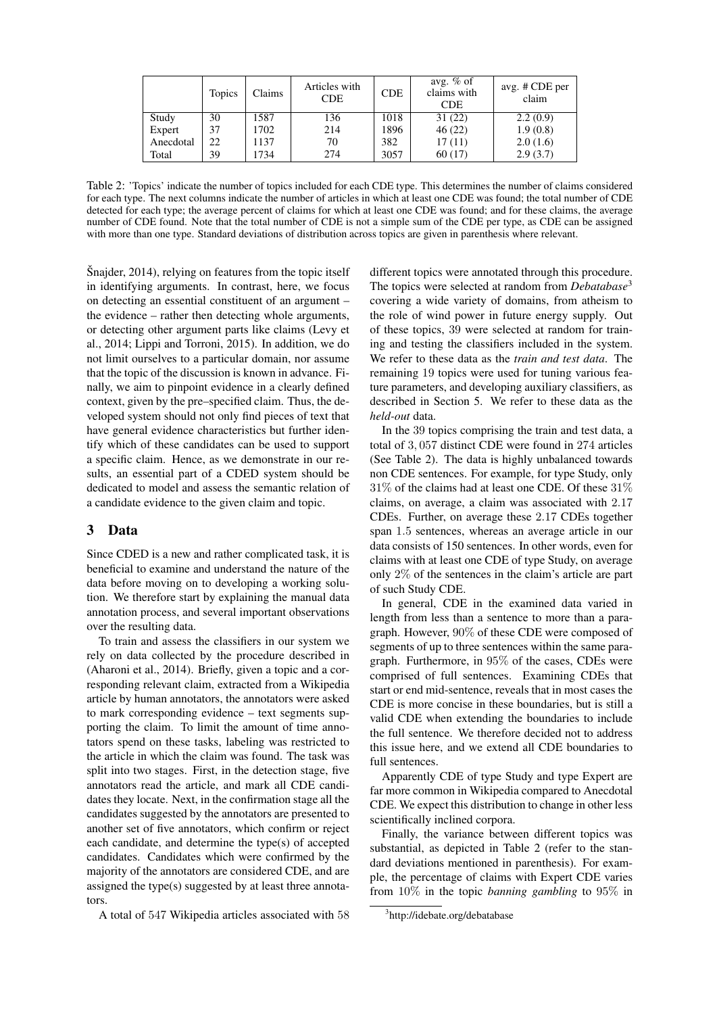|           | <b>Topics</b> | Claims | Articles with<br><b>CDE</b> | <b>CDE</b> | avg. $%$ of<br>claims with<br><b>CDE</b> | avg. # CDE per<br>claim |
|-----------|---------------|--------|-----------------------------|------------|------------------------------------------|-------------------------|
| Study     | 30            | 1587   | 136                         | 1018       | 31(22)                                   | 2.2(0.9)                |
| Expert    | 37            | 1702   | 214                         | 1896       | 46(22)                                   | 1.9(0.8)                |
| Anecdotal | 22            | 1137   | 70                          | 382        | 17(11)                                   | 2.0(1.6)                |
| Total     | 39            | 1734   | 274                         | 3057       | 60(17)                                   | 2.9(3.7)                |

Table 2: 'Topics' indicate the number of topics included for each CDE type. This determines the number of claims considered for each type. The next columns indicate the number of articles in which at least one CDE was found; the total number of CDE detected for each type; the average percent of claims for which at least one CDE was found; and for these claims, the average number of CDE found. Note that the total number of CDE is not a simple sum of the CDE per type, as CDE can be assigned with more than one type. Standard deviations of distribution across topics are given in parenthesis where relevant.

Šnajder, 2014), relying on features from the topic itself in identifying arguments. In contrast, here, we focus on detecting an essential constituent of an argument – the evidence – rather then detecting whole arguments, or detecting other argument parts like claims (Levy et al., 2014; Lippi and Torroni, 2015). In addition, we do not limit ourselves to a particular domain, nor assume that the topic of the discussion is known in advance. Finally, we aim to pinpoint evidence in a clearly defined context, given by the pre–specified claim. Thus, the developed system should not only find pieces of text that have general evidence characteristics but further identify which of these candidates can be used to support a specific claim. Hence, as we demonstrate in our results, an essential part of a CDED system should be dedicated to model and assess the semantic relation of a candidate evidence to the given claim and topic.

## 3 Data

Since CDED is a new and rather complicated task, it is beneficial to examine and understand the nature of the data before moving on to developing a working solution. We therefore start by explaining the manual data annotation process, and several important observations over the resulting data.

To train and assess the classifiers in our system we rely on data collected by the procedure described in (Aharoni et al., 2014). Briefly, given a topic and a corresponding relevant claim, extracted from a Wikipedia article by human annotators, the annotators were asked to mark corresponding evidence – text segments supporting the claim. To limit the amount of time annotators spend on these tasks, labeling was restricted to the article in which the claim was found. The task was split into two stages. First, in the detection stage, five annotators read the article, and mark all CDE candidates they locate. Next, in the confirmation stage all the candidates suggested by the annotators are presented to another set of five annotators, which confirm or reject each candidate, and determine the type(s) of accepted candidates. Candidates which were confirmed by the majority of the annotators are considered CDE, and are assigned the type(s) suggested by at least three annotators.

A total of 547 Wikipedia articles associated with 58

different topics were annotated through this procedure. The topics were selected at random from *Debatabase*<sup>3</sup> covering a wide variety of domains, from atheism to the role of wind power in future energy supply. Out of these topics, 39 were selected at random for training and testing the classifiers included in the system. We refer to these data as the *train and test data*. The remaining 19 topics were used for tuning various feature parameters, and developing auxiliary classifiers, as described in Section 5. We refer to these data as the *held-out* data.

In the 39 topics comprising the train and test data, a total of 3, 057 distinct CDE were found in 274 articles (See Table 2). The data is highly unbalanced towards non CDE sentences. For example, for type Study, only 31% of the claims had at least one CDE. Of these 31% claims, on average, a claim was associated with 2.17 CDEs. Further, on average these 2.17 CDEs together span 1.5 sentences, whereas an average article in our data consists of 150 sentences. In other words, even for claims with at least one CDE of type Study, on average only 2% of the sentences in the claim's article are part of such Study CDE.

In general, CDE in the examined data varied in length from less than a sentence to more than a paragraph. However, 90% of these CDE were composed of segments of up to three sentences within the same paragraph. Furthermore, in 95% of the cases, CDEs were comprised of full sentences. Examining CDEs that start or end mid-sentence, reveals that in most cases the CDE is more concise in these boundaries, but is still a valid CDE when extending the boundaries to include the full sentence. We therefore decided not to address this issue here, and we extend all CDE boundaries to full sentences.

Apparently CDE of type Study and type Expert are far more common in Wikipedia compared to Anecdotal CDE. We expect this distribution to change in other less scientifically inclined corpora.

Finally, the variance between different topics was substantial, as depicted in Table 2 (refer to the standard deviations mentioned in parenthesis). For example, the percentage of claims with Expert CDE varies from 10% in the topic *banning gambling* to 95% in

<sup>3</sup> http://idebate.org/debatabase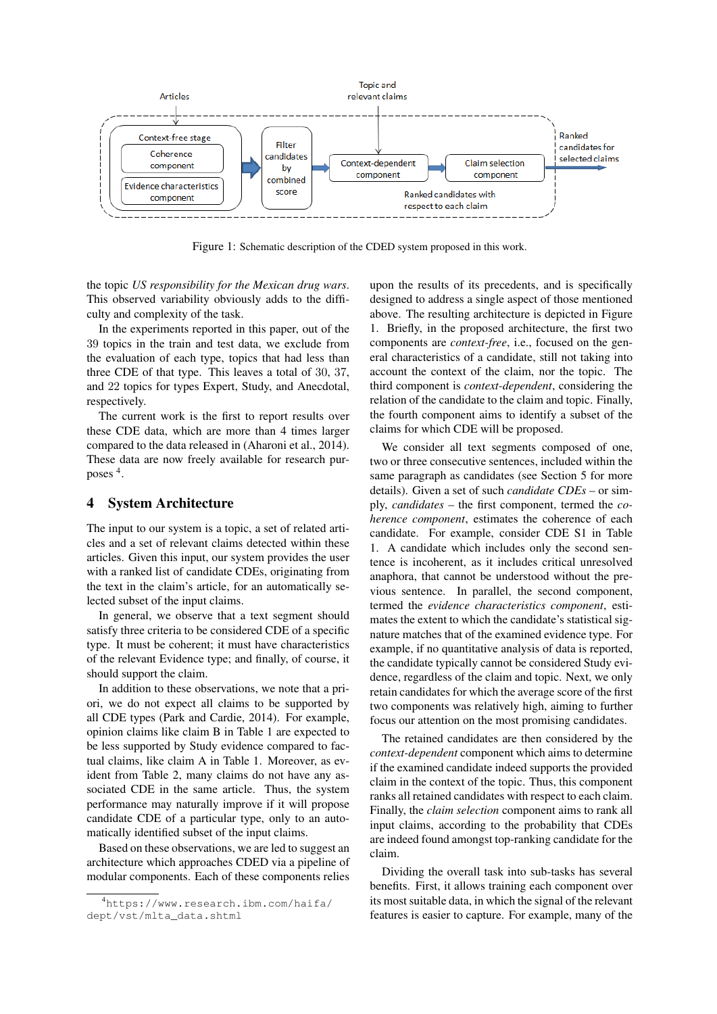

Figure 1: Schematic description of the CDED system proposed in this work.

the topic *US responsibility for the Mexican drug wars*. This observed variability obviously adds to the difficulty and complexity of the task.

In the experiments reported in this paper, out of the 39 topics in the train and test data, we exclude from the evaluation of each type, topics that had less than three CDE of that type. This leaves a total of 30, 37, and 22 topics for types Expert, Study, and Anecdotal, respectively.

The current work is the first to report results over these CDE data, which are more than 4 times larger compared to the data released in (Aharoni et al., 2014). These data are now freely available for research purposes <sup>4</sup> .

### 4 System Architecture

The input to our system is a topic, a set of related articles and a set of relevant claims detected within these articles. Given this input, our system provides the user with a ranked list of candidate CDEs, originating from the text in the claim's article, for an automatically selected subset of the input claims.

In general, we observe that a text segment should satisfy three criteria to be considered CDE of a specific type. It must be coherent; it must have characteristics of the relevant Evidence type; and finally, of course, it should support the claim.

In addition to these observations, we note that a priori, we do not expect all claims to be supported by all CDE types (Park and Cardie, 2014). For example, opinion claims like claim B in Table 1 are expected to be less supported by Study evidence compared to factual claims, like claim A in Table 1. Moreover, as evident from Table 2, many claims do not have any associated CDE in the same article. Thus, the system performance may naturally improve if it will propose candidate CDE of a particular type, only to an automatically identified subset of the input claims.

Based on these observations, we are led to suggest an architecture which approaches CDED via a pipeline of modular components. Each of these components relies upon the results of its precedents, and is specifically designed to address a single aspect of those mentioned above. The resulting architecture is depicted in Figure 1. Briefly, in the proposed architecture, the first two components are *context-free*, i.e., focused on the general characteristics of a candidate, still not taking into account the context of the claim, nor the topic. The third component is *context-dependent*, considering the relation of the candidate to the claim and topic. Finally, the fourth component aims to identify a subset of the claims for which CDE will be proposed.

We consider all text segments composed of one, two or three consecutive sentences, included within the same paragraph as candidates (see Section 5 for more details). Given a set of such *candidate CDEs* – or simply, *candidates* – the first component, termed the *coherence component*, estimates the coherence of each candidate. For example, consider CDE S1 in Table 1. A candidate which includes only the second sentence is incoherent, as it includes critical unresolved anaphora, that cannot be understood without the previous sentence. In parallel, the second component, termed the *evidence characteristics component*, estimates the extent to which the candidate's statistical signature matches that of the examined evidence type. For example, if no quantitative analysis of data is reported, the candidate typically cannot be considered Study evidence, regardless of the claim and topic. Next, we only retain candidates for which the average score of the first two components was relatively high, aiming to further focus our attention on the most promising candidates.

The retained candidates are then considered by the *context-dependent* component which aims to determine if the examined candidate indeed supports the provided claim in the context of the topic. Thus, this component ranks all retained candidates with respect to each claim. Finally, the *claim selection* component aims to rank all input claims, according to the probability that CDEs are indeed found amongst top-ranking candidate for the claim.

Dividing the overall task into sub-tasks has several benefits. First, it allows training each component over its most suitable data, in which the signal of the relevant features is easier to capture. For example, many of the

<sup>4</sup>https://www.research.ibm.com/haifa/ dept/vst/mlta\_data.shtml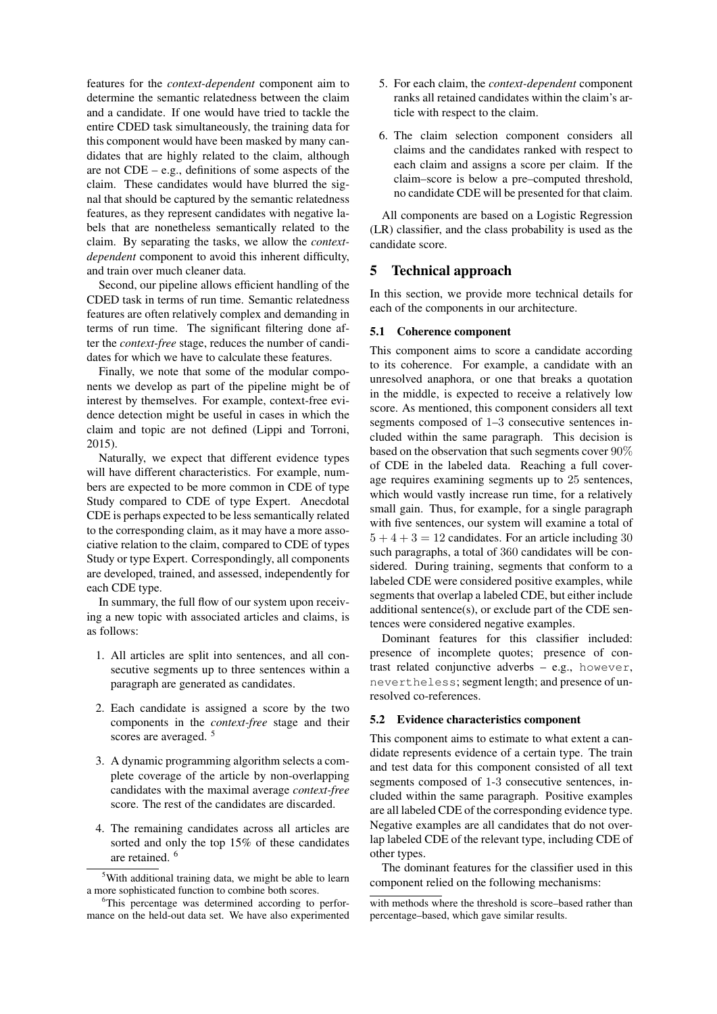features for the *context-dependent* component aim to determine the semantic relatedness between the claim and a candidate. If one would have tried to tackle the entire CDED task simultaneously, the training data for this component would have been masked by many candidates that are highly related to the claim, although are not  $CDE - e.g.,$  definitions of some aspects of the claim. These candidates would have blurred the signal that should be captured by the semantic relatedness features, as they represent candidates with negative labels that are nonetheless semantically related to the claim. By separating the tasks, we allow the *contextdependent* component to avoid this inherent difficulty, and train over much cleaner data.

Second, our pipeline allows efficient handling of the CDED task in terms of run time. Semantic relatedness features are often relatively complex and demanding in terms of run time. The significant filtering done after the *context-free* stage, reduces the number of candidates for which we have to calculate these features.

Finally, we note that some of the modular components we develop as part of the pipeline might be of interest by themselves. For example, context-free evidence detection might be useful in cases in which the claim and topic are not defined (Lippi and Torroni, 2015).

Naturally, we expect that different evidence types will have different characteristics. For example, numbers are expected to be more common in CDE of type Study compared to CDE of type Expert. Anecdotal CDE is perhaps expected to be less semantically related to the corresponding claim, as it may have a more associative relation to the claim, compared to CDE of types Study or type Expert. Correspondingly, all components are developed, trained, and assessed, independently for each CDE type.

In summary, the full flow of our system upon receiving a new topic with associated articles and claims, is as follows:

- 1. All articles are split into sentences, and all consecutive segments up to three sentences within a paragraph are generated as candidates.
- 2. Each candidate is assigned a score by the two components in the *context-free* stage and their scores are averaged.<sup>5</sup>
- 3. A dynamic programming algorithm selects a complete coverage of the article by non-overlapping candidates with the maximal average *context-free* score. The rest of the candidates are discarded.
- 4. The remaining candidates across all articles are sorted and only the top 15% of these candidates are retained. <sup>6</sup>
- 5. For each claim, the *context-dependent* component ranks all retained candidates within the claim's article with respect to the claim.
- 6. The claim selection component considers all claims and the candidates ranked with respect to each claim and assigns a score per claim. If the claim–score is below a pre–computed threshold, no candidate CDE will be presented for that claim.

All components are based on a Logistic Regression (LR) classifier, and the class probability is used as the candidate score.

## 5 Technical approach

In this section, we provide more technical details for each of the components in our architecture.

### 5.1 Coherence component

This component aims to score a candidate according to its coherence. For example, a candidate with an unresolved anaphora, or one that breaks a quotation in the middle, is expected to receive a relatively low score. As mentioned, this component considers all text segments composed of 1–3 consecutive sentences included within the same paragraph. This decision is based on the observation that such segments cover 90% of CDE in the labeled data. Reaching a full coverage requires examining segments up to 25 sentences, which would vastly increase run time, for a relatively small gain. Thus, for example, for a single paragraph with five sentences, our system will examine a total of  $5 + 4 + 3 = 12$  candidates. For an article including 30 such paragraphs, a total of 360 candidates will be considered. During training, segments that conform to a labeled CDE were considered positive examples, while segments that overlap a labeled CDE, but either include additional sentence(s), or exclude part of the CDE sentences were considered negative examples.

Dominant features for this classifier included: presence of incomplete quotes; presence of contrast related conjunctive adverbs – e.g., however, nevertheless; segment length; and presence of unresolved co-references.

#### 5.2 Evidence characteristics component

This component aims to estimate to what extent a candidate represents evidence of a certain type. The train and test data for this component consisted of all text segments composed of 1-3 consecutive sentences, included within the same paragraph. Positive examples are all labeled CDE of the corresponding evidence type. Negative examples are all candidates that do not overlap labeled CDE of the relevant type, including CDE of other types.

The dominant features for the classifier used in this component relied on the following mechanisms:

 $5$ With additional training data, we might be able to learn a more sophisticated function to combine both scores.

<sup>&</sup>lt;sup>6</sup>This percentage was determined according to performance on the held-out data set. We have also experimented

with methods where the threshold is score–based rather than percentage–based, which gave similar results.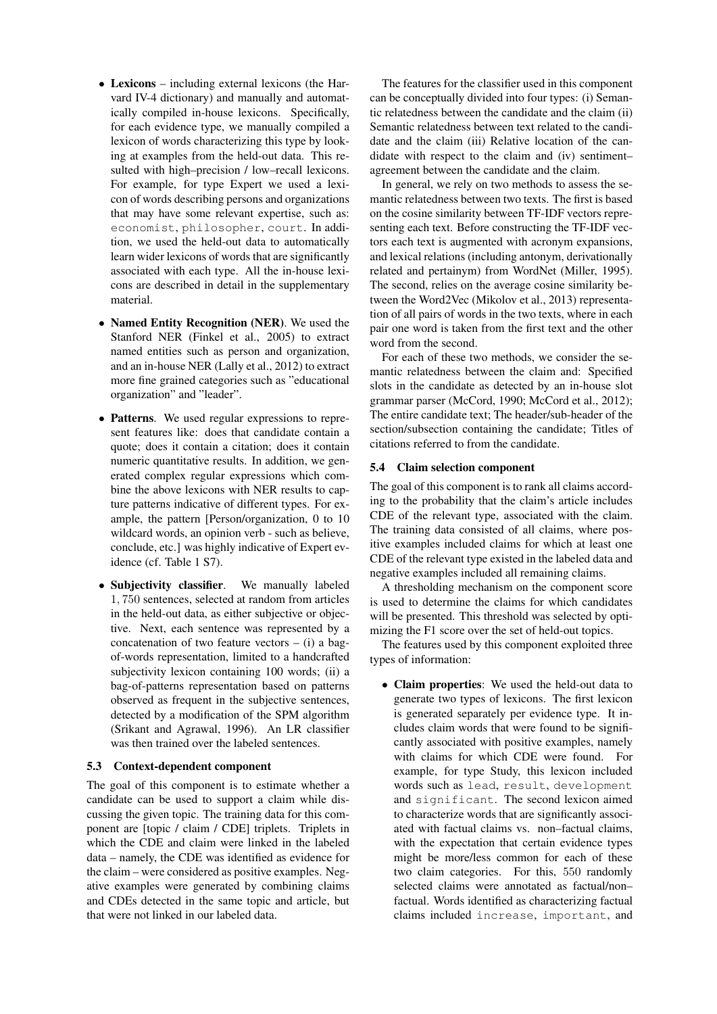- Lexicons including external lexicons (the Harvard IV-4 dictionary) and manually and automatically compiled in-house lexicons. Specifically, for each evidence type, we manually compiled a lexicon of words characterizing this type by looking at examples from the held-out data. This resulted with high–precision / low–recall lexicons. For example, for type Expert we used a lexicon of words describing persons and organizations that may have some relevant expertise, such as: economist, philosopher, court. In addition, we used the held-out data to automatically learn wider lexicons of words that are significantly associated with each type. All the in-house lexicons are described in detail in the supplementary material.
- Named Entity Recognition (NER). We used the Stanford NER (Finkel et al., 2005) to extract named entities such as person and organization, and an in-house NER (Lally et al., 2012) to extract more fine grained categories such as "educational organization" and "leader".
- Patterns. We used regular expressions to represent features like: does that candidate contain a quote; does it contain a citation; does it contain numeric quantitative results. In addition, we generated complex regular expressions which combine the above lexicons with NER results to capture patterns indicative of different types. For example, the pattern [Person/organization, 0 to 10 wildcard words, an opinion verb - such as believe, conclude, etc.] was highly indicative of Expert evidence (cf. Table 1 S7).
- Subjectivity classifier. We manually labeled 1, 750 sentences, selected at random from articles in the held-out data, as either subjective or objective. Next, each sentence was represented by a concatenation of two feature vectors  $-$  (i) a bagof-words representation, limited to a handcrafted subjectivity lexicon containing 100 words; (ii) a bag-of-patterns representation based on patterns observed as frequent in the subjective sentences, detected by a modification of the SPM algorithm (Srikant and Agrawal, 1996). An LR classifier was then trained over the labeled sentences.

### 5.3 Context-dependent component

The goal of this component is to estimate whether a candidate can be used to support a claim while discussing the given topic. The training data for this component are [topic / claim / CDE] triplets. Triplets in which the CDE and claim were linked in the labeled data – namely, the CDE was identified as evidence for the claim – were considered as positive examples. Negative examples were generated by combining claims and CDEs detected in the same topic and article, but that were not linked in our labeled data.

The features for the classifier used in this component can be conceptually divided into four types: (i) Semantic relatedness between the candidate and the claim (ii) Semantic relatedness between text related to the candidate and the claim (iii) Relative location of the candidate with respect to the claim and (iv) sentiment– agreement between the candidate and the claim.

In general, we rely on two methods to assess the semantic relatedness between two texts. The first is based on the cosine similarity between TF-IDF vectors representing each text. Before constructing the TF-IDF vectors each text is augmented with acronym expansions, and lexical relations (including antonym, derivationally related and pertainym) from WordNet (Miller, 1995). The second, relies on the average cosine similarity between the Word2Vec (Mikolov et al., 2013) representation of all pairs of words in the two texts, where in each pair one word is taken from the first text and the other word from the second.

For each of these two methods, we consider the semantic relatedness between the claim and: Specified slots in the candidate as detected by an in-house slot grammar parser (McCord, 1990; McCord et al., 2012); The entire candidate text; The header/sub-header of the section/subsection containing the candidate; Titles of citations referred to from the candidate.

#### 5.4 Claim selection component

The goal of this component is to rank all claims according to the probability that the claim's article includes CDE of the relevant type, associated with the claim. The training data consisted of all claims, where positive examples included claims for which at least one CDE of the relevant type existed in the labeled data and negative examples included all remaining claims.

A thresholding mechanism on the component score is used to determine the claims for which candidates will be presented. This threshold was selected by optimizing the F1 score over the set of held-out topics.

The features used by this component exploited three types of information:

• Claim properties: We used the held-out data to generate two types of lexicons. The first lexicon is generated separately per evidence type. It includes claim words that were found to be significantly associated with positive examples, namely with claims for which CDE were found. For example, for type Study, this lexicon included words such as lead, result, development and significant. The second lexicon aimed to characterize words that are significantly associated with factual claims vs. non–factual claims, with the expectation that certain evidence types might be more/less common for each of these two claim categories. For this, 550 randomly selected claims were annotated as factual/non– factual. Words identified as characterizing factual claims included increase, important, and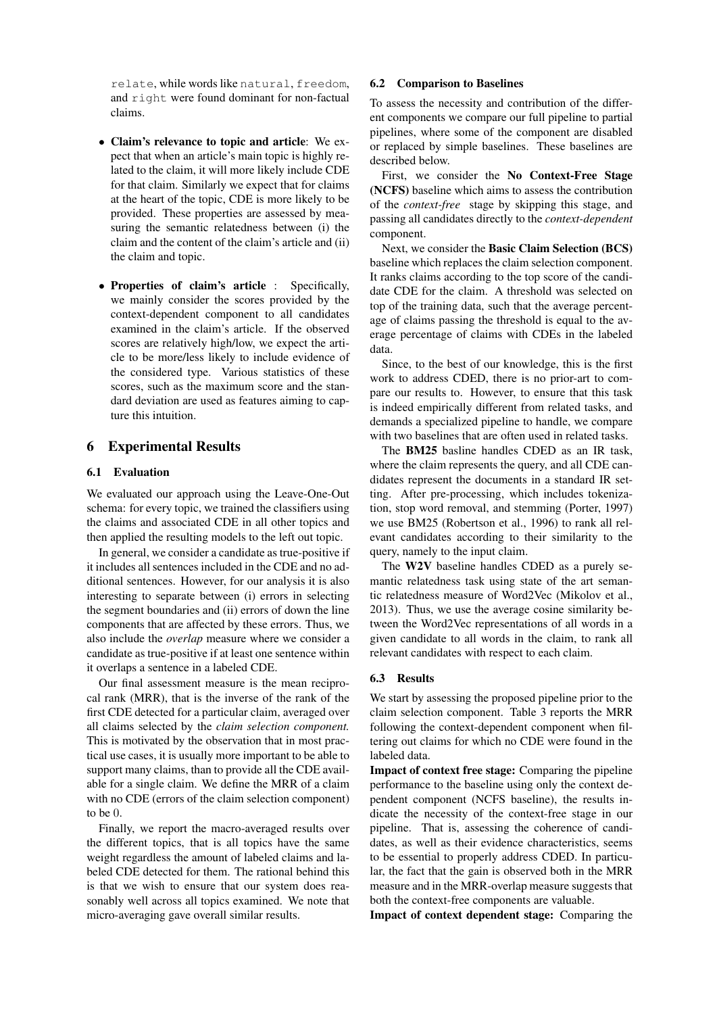relate, while words like natural, freedom, and right were found dominant for non-factual claims.

- Claim's relevance to topic and article: We expect that when an article's main topic is highly related to the claim, it will more likely include CDE for that claim. Similarly we expect that for claims at the heart of the topic, CDE is more likely to be provided. These properties are assessed by measuring the semantic relatedness between (i) the claim and the content of the claim's article and (ii) the claim and topic.
- Properties of claim's article : Specifically, we mainly consider the scores provided by the context-dependent component to all candidates examined in the claim's article. If the observed scores are relatively high/low, we expect the article to be more/less likely to include evidence of the considered type. Various statistics of these scores, such as the maximum score and the standard deviation are used as features aiming to capture this intuition.

# 6 Experimental Results

### 6.1 Evaluation

We evaluated our approach using the Leave-One-Out schema: for every topic, we trained the classifiers using the claims and associated CDE in all other topics and then applied the resulting models to the left out topic.

In general, we consider a candidate as true-positive if it includes all sentences included in the CDE and no additional sentences. However, for our analysis it is also interesting to separate between (i) errors in selecting the segment boundaries and (ii) errors of down the line components that are affected by these errors. Thus, we also include the *overlap* measure where we consider a candidate as true-positive if at least one sentence within it overlaps a sentence in a labeled CDE.

Our final assessment measure is the mean reciprocal rank (MRR), that is the inverse of the rank of the first CDE detected for a particular claim, averaged over all claims selected by the *claim selection component.* This is motivated by the observation that in most practical use cases, it is usually more important to be able to support many claims, than to provide all the CDE available for a single claim. We define the MRR of a claim with no CDE (errors of the claim selection component) to be 0.

Finally, we report the macro-averaged results over the different topics, that is all topics have the same weight regardless the amount of labeled claims and labeled CDE detected for them. The rational behind this is that we wish to ensure that our system does reasonably well across all topics examined. We note that micro-averaging gave overall similar results.

### 6.2 Comparison to Baselines

To assess the necessity and contribution of the different components we compare our full pipeline to partial pipelines, where some of the component are disabled or replaced by simple baselines. These baselines are described below.

First, we consider the No Context-Free Stage (NCFS) baseline which aims to assess the contribution of the *context-free* stage by skipping this stage, and passing all candidates directly to the *context-dependent* component.

Next, we consider the Basic Claim Selection (BCS) baseline which replaces the claim selection component. It ranks claims according to the top score of the candidate CDE for the claim. A threshold was selected on top of the training data, such that the average percentage of claims passing the threshold is equal to the average percentage of claims with CDEs in the labeled data.

Since, to the best of our knowledge, this is the first work to address CDED, there is no prior-art to compare our results to. However, to ensure that this task is indeed empirically different from related tasks, and demands a specialized pipeline to handle, we compare with two baselines that are often used in related tasks.

The BM25 basline handles CDED as an IR task, where the claim represents the query, and all CDE candidates represent the documents in a standard IR setting. After pre-processing, which includes tokenization, stop word removal, and stemming (Porter, 1997) we use BM25 (Robertson et al., 1996) to rank all relevant candidates according to their similarity to the query, namely to the input claim.

The W2V baseline handles CDED as a purely semantic relatedness task using state of the art semantic relatedness measure of Word2Vec (Mikolov et al., 2013). Thus, we use the average cosine similarity between the Word2Vec representations of all words in a given candidate to all words in the claim, to rank all relevant candidates with respect to each claim.

#### 6.3 Results

We start by assessing the proposed pipeline prior to the claim selection component. Table 3 reports the MRR following the context-dependent component when filtering out claims for which no CDE were found in the labeled data.

Impact of context free stage: Comparing the pipeline performance to the baseline using only the context dependent component (NCFS baseline), the results indicate the necessity of the context-free stage in our pipeline. That is, assessing the coherence of candidates, as well as their evidence characteristics, seems to be essential to properly address CDED. In particular, the fact that the gain is observed both in the MRR measure and in the MRR-overlap measure suggests that both the context-free components are valuable.

Impact of context dependent stage: Comparing the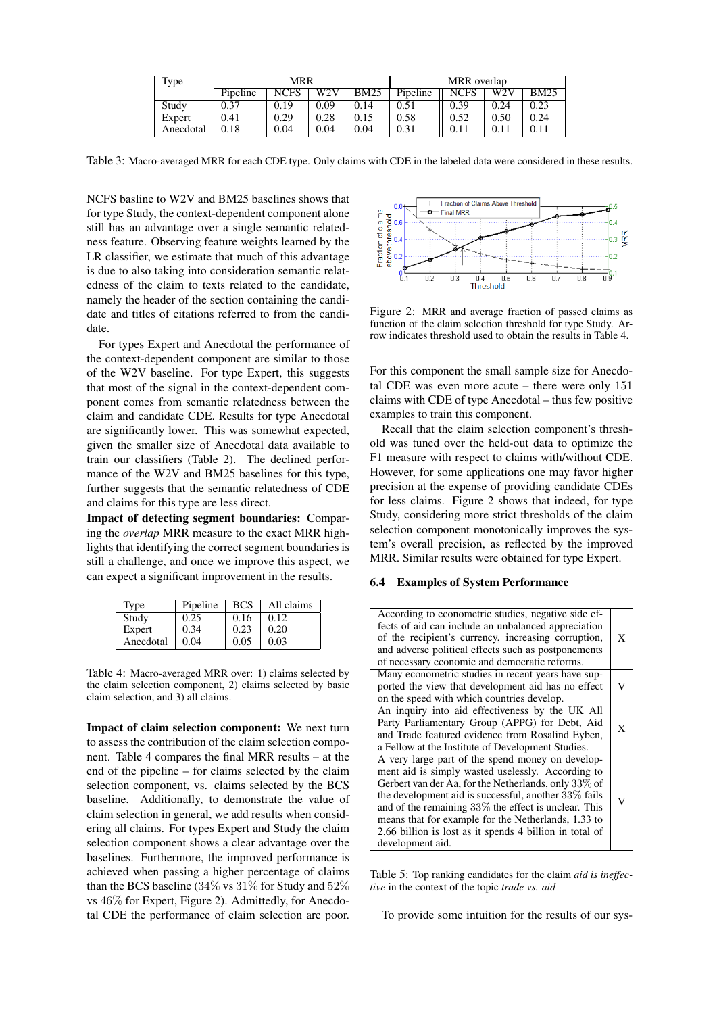| Type      | MRR      |      |              |             | MRR overlap |             |      |             |
|-----------|----------|------|--------------|-------------|-------------|-------------|------|-------------|
|           | Pipeline | NCFS | $_{\rm W2V}$ | <b>BM25</b> | Pipeline    | <b>NCFS</b> | W2V  | <b>BM25</b> |
| Study     | 0.37     | 0.19 | 0.09         | 0.14        | 0.51        | 0.39        | 0.24 | 0.23        |
| Expert    | 0.41     | 0.29 | 0.28         | 0.15        | 0.58        | 0.52        | 0.50 | 0.24        |
| Anecdotal | 0.18     | 0.04 | 0.04         | 0.04        | 0.31        | 0.11        |      | 0.11        |

Table 3: Macro-averaged MRR for each CDE type. Only claims with CDE in the labeled data were considered in these results.

NCFS basline to W2V and BM25 baselines shows that for type Study, the context-dependent component alone still has an advantage over a single semantic relatedness feature. Observing feature weights learned by the LR classifier, we estimate that much of this advantage is due to also taking into consideration semantic relatedness of the claim to texts related to the candidate, namely the header of the section containing the candidate and titles of citations referred to from the candidate.

For types Expert and Anecdotal the performance of the context-dependent component are similar to those of the W2V baseline. For type Expert, this suggests that most of the signal in the context-dependent component comes from semantic relatedness between the claim and candidate CDE. Results for type Anecdotal are significantly lower. This was somewhat expected, given the smaller size of Anecdotal data available to train our classifiers (Table 2). The declined performance of the W2V and BM25 baselines for this type, further suggests that the semantic relatedness of CDE and claims for this type are less direct.

Impact of detecting segment boundaries: Comparing the *overlap* MRR measure to the exact MRR highlights that identifying the correct segment boundaries is still a challenge, and once we improve this aspect, we can expect a significant improvement in the results.

| Type      | Pipeline | <b>BCS</b> | All claims |
|-----------|----------|------------|------------|
| Study     | 0.25     | 0.16       | 0.12       |
| Expert    | 0.34     | 0.23       | 0.20       |
| Anecdotal | 0.04     | 0.05       | 0.03       |

Table 4: Macro-averaged MRR over: 1) claims selected by the claim selection component, 2) claims selected by basic claim selection, and 3) all claims.

Impact of claim selection component: We next turn to assess the contribution of the claim selection component. Table 4 compares the final MRR results – at the end of the pipeline – for claims selected by the claim selection component, vs. claims selected by the BCS baseline. Additionally, to demonstrate the value of claim selection in general, we add results when considering all claims. For types Expert and Study the claim selection component shows a clear advantage over the baselines. Furthermore, the improved performance is achieved when passing a higher percentage of claims than the BCS baseline (34% vs 31% for Study and 52% vs 46% for Expert, Figure 2). Admittedly, for Anecdotal CDE the performance of claim selection are poor.



Figure 2: MRR and average fraction of passed claims as function of the claim selection threshold for type Study. Arrow indicates threshold used to obtain the results in Table 4.

For this component the small sample size for Anecdotal CDE was even more acute – there were only 151 claims with CDE of type Anecdotal – thus few positive examples to train this component.

Recall that the claim selection component's threshold was tuned over the held-out data to optimize the F1 measure with respect to claims with/without CDE. However, for some applications one may favor higher precision at the expense of providing candidate CDEs for less claims. Figure 2 shows that indeed, for type Study, considering more strict thresholds of the claim selection component monotonically improves the system's overall precision, as reflected by the improved MRR. Similar results were obtained for type Expert.

#### 6.4 Examples of System Performance

| According to econometric studies, negative side ef-<br>fects of aid can include an unbalanced appreciation<br>of the recipient's currency, increasing corruption,<br>and adverse political effects such as postponements<br>of necessary economic and democratic reforms.                                                                                                                                              | X |
|------------------------------------------------------------------------------------------------------------------------------------------------------------------------------------------------------------------------------------------------------------------------------------------------------------------------------------------------------------------------------------------------------------------------|---|
| Many econometric studies in recent years have sup-<br>ported the view that development aid has no effect<br>on the speed with which countries develop.                                                                                                                                                                                                                                                                 | V |
| An inquiry into aid effectiveness by the UK All<br>Party Parliamentary Group (APPG) for Debt, Aid<br>and Trade featured evidence from Rosalind Eyben,<br>a Fellow at the Institute of Development Studies.                                                                                                                                                                                                             | X |
| A very large part of the spend money on develop-<br>ment aid is simply wasted uselessly. According to<br>Gerbert van der Aa, for the Netherlands, only 33% of<br>the development aid is successful, another 33% fails<br>and of the remaining $33\%$ the effect is unclear. This<br>means that for example for the Netherlands, 1.33 to<br>2.66 billion is lost as it spends 4 billion in total of<br>development aid. |   |

Table 5: Top ranking candidates for the claim *aid is ineffective* in the context of the topic *trade vs. aid*

To provide some intuition for the results of our sys-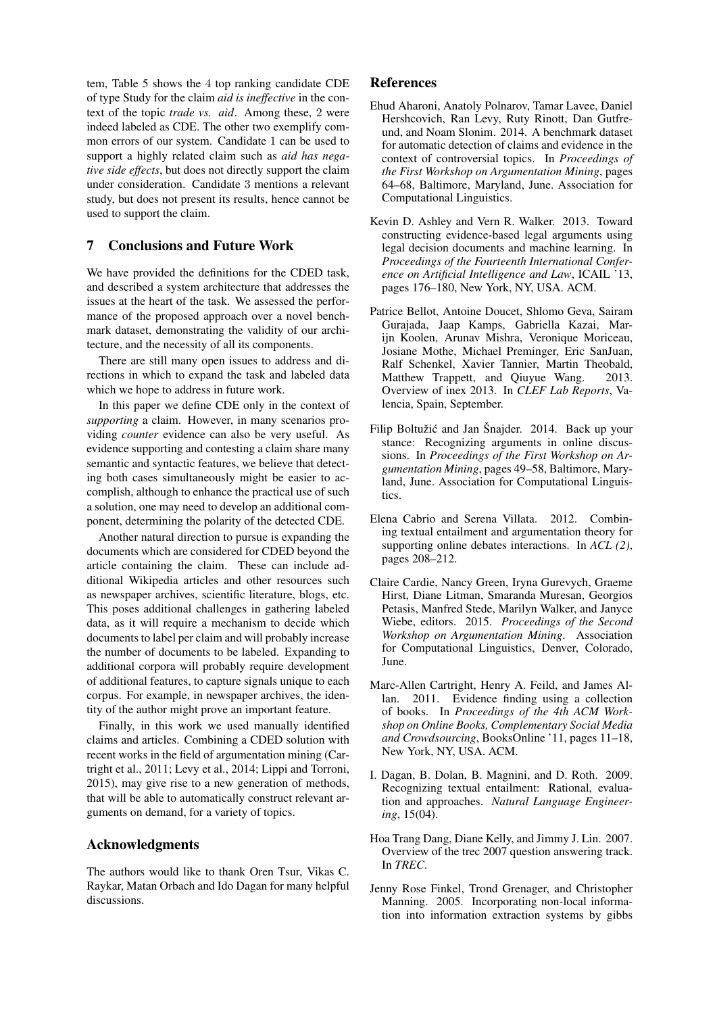tem, Table 5 shows the 4 top ranking candidate CDE of type Study for the claim *aid is ineffective* in the context of the topic *trade vs. aid*. Among these, 2 were indeed labeled as CDE. The other two exemplify common errors of our system. Candidate 1 can be used to support a highly related claim such as *aid has negative side effects*, but does not directly support the claim under consideration. Candidate 3 mentions a relevant study, but does not present its results, hence cannot be used to support the claim.

# 7 Conclusions and Future Work

We have provided the definitions for the CDED task, and described a system architecture that addresses the issues at the heart of the task. We assessed the performance of the proposed approach over a novel benchmark dataset, demonstrating the validity of our architecture, and the necessity of all its components.

There are still many open issues to address and directions in which to expand the task and labeled data which we hope to address in future work.

In this paper we define CDE only in the context of *supporting* a claim. However, in many scenarios providing *counter* evidence can also be very useful. As evidence supporting and contesting a claim share many semantic and syntactic features, we believe that detecting both cases simultaneously might be easier to accomplish, although to enhance the practical use of such a solution, one may need to develop an additional component, determining the polarity of the detected CDE.

Another natural direction to pursue is expanding the documents which are considered for CDED beyond the article containing the claim. These can include additional Wikipedia articles and other resources such as newspaper archives, scientific literature, blogs, etc. This poses additional challenges in gathering labeled data, as it will require a mechanism to decide which documents to label per claim and will probably increase the number of documents to be labeled. Expanding to additional corpora will probably require development of additional features, to capture signals unique to each corpus. For example, in newspaper archives, the identity of the author might prove an important feature.

Finally, in this work we used manually identified claims and articles. Combining a CDED solution with recent works in the field of argumentation mining (Cartright et al., 2011; Levy et al., 2014; Lippi and Torroni, 2015), may give rise to a new generation of methods, that will be able to automatically construct relevant arguments on demand, for a variety of topics.

## Acknowledgments

The authors would like to thank Oren Tsur, Vikas C. Raykar, Matan Orbach and Ido Dagan for many helpful discussions.

### References

- Ehud Aharoni, Anatoly Polnarov, Tamar Lavee, Daniel Hershcovich, Ran Levy, Ruty Rinott, Dan Gutfreund, and Noam Slonim. 2014. A benchmark dataset for automatic detection of claims and evidence in the context of controversial topics. In *Proceedings of the First Workshop on Argumentation Mining*, pages 64–68, Baltimore, Maryland, June. Association for Computational Linguistics.
- Kevin D. Ashley and Vern R. Walker. 2013. Toward constructing evidence-based legal arguments using legal decision documents and machine learning. In *Proceedings of the Fourteenth International Conference on Artificial Intelligence and Law*, ICAIL '13, pages 176–180, New York, NY, USA. ACM.
- Patrice Bellot, Antoine Doucet, Shlomo Geva, Sairam Gurajada, Jaap Kamps, Gabriella Kazai, Marijn Koolen, Arunav Mishra, Veronique Moriceau, Josiane Mothe, Michael Preminger, Eric SanJuan, Ralf Schenkel, Xavier Tannier, Martin Theobald, Matthew Trappett, and Qiuyue Wang. 2013. Overview of inex 2013. In *CLEF Lab Reports*, Valencia, Spain, September.
- Filip Boltužić and Jan Šnajder. 2014. Back up your stance: Recognizing arguments in online discussions. In *Proceedings of the First Workshop on Argumentation Mining*, pages 49–58, Baltimore, Maryland, June. Association for Computational Linguistics.
- Elena Cabrio and Serena Villata. 2012. Combining textual entailment and argumentation theory for supporting online debates interactions. In *ACL (2)*, pages 208–212.
- Claire Cardie, Nancy Green, Iryna Gurevych, Graeme Hirst, Diane Litman, Smaranda Muresan, Georgios Petasis, Manfred Stede, Marilyn Walker, and Janyce Wiebe, editors. 2015. *Proceedings of the Second Workshop on Argumentation Mining*. Association for Computational Linguistics, Denver, Colorado, June.
- Marc-Allen Cartright, Henry A. Feild, and James Allan. 2011. Evidence finding using a collection of books. In *Proceedings of the 4th ACM Workshop on Online Books, Complementary Social Media and Crowdsourcing*, BooksOnline '11, pages 11–18, New York, NY, USA. ACM.
- I. Dagan, B. Dolan, B. Magnini, and D. Roth. 2009. Recognizing textual entailment: Rational, evaluation and approaches. *Natural Language Engineering*, 15(04).
- Hoa Trang Dang, Diane Kelly, and Jimmy J. Lin. 2007. Overview of the trec 2007 question answering track. In *TREC*.
- Jenny Rose Finkel, Trond Grenager, and Christopher Manning. 2005. Incorporating non-local information into information extraction systems by gibbs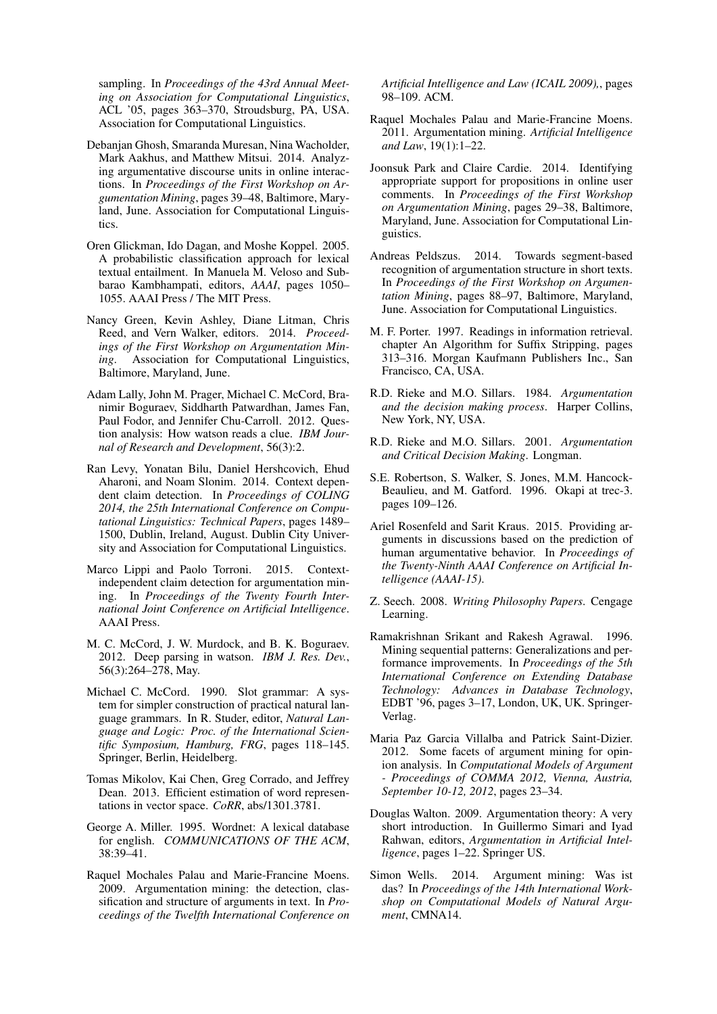sampling. In *Proceedings of the 43rd Annual Meeting on Association for Computational Linguistics*, ACL '05, pages 363–370, Stroudsburg, PA, USA. Association for Computational Linguistics.

- Debanjan Ghosh, Smaranda Muresan, Nina Wacholder, Mark Aakhus, and Matthew Mitsui. 2014. Analyzing argumentative discourse units in online interactions. In *Proceedings of the First Workshop on Argumentation Mining*, pages 39–48, Baltimore, Maryland, June. Association for Computational Linguistics.
- Oren Glickman, Ido Dagan, and Moshe Koppel. 2005. A probabilistic classification approach for lexical textual entailment. In Manuela M. Veloso and Subbarao Kambhampati, editors, *AAAI*, pages 1050– 1055. AAAI Press / The MIT Press.
- Nancy Green, Kevin Ashley, Diane Litman, Chris Reed, and Vern Walker, editors. 2014. *Proceedings of the First Workshop on Argumentation Mining*. Association for Computational Linguistics, Baltimore, Maryland, June.
- Adam Lally, John M. Prager, Michael C. McCord, Branimir Boguraev, Siddharth Patwardhan, James Fan, Paul Fodor, and Jennifer Chu-Carroll. 2012. Question analysis: How watson reads a clue. *IBM Journal of Research and Development*, 56(3):2.
- Ran Levy, Yonatan Bilu, Daniel Hershcovich, Ehud Aharoni, and Noam Slonim. 2014. Context dependent claim detection. In *Proceedings of COLING 2014, the 25th International Conference on Computational Linguistics: Technical Papers*, pages 1489– 1500, Dublin, Ireland, August. Dublin City University and Association for Computational Linguistics.
- Marco Lippi and Paolo Torroni. 2015. Contextindependent claim detection for argumentation mining. In *Proceedings of the Twenty Fourth International Joint Conference on Artificial Intelligence*. AAAI Press.
- M. C. McCord, J. W. Murdock, and B. K. Boguraev. 2012. Deep parsing in watson. *IBM J. Res. Dev.*, 56(3):264–278, May.
- Michael C. McCord. 1990. Slot grammar: A system for simpler construction of practical natural language grammars. In R. Studer, editor, *Natural Language and Logic: Proc. of the International Scientific Symposium, Hamburg, FRG*, pages 118–145. Springer, Berlin, Heidelberg.
- Tomas Mikolov, Kai Chen, Greg Corrado, and Jeffrey Dean. 2013. Efficient estimation of word representations in vector space. *CoRR*, abs/1301.3781.
- George A. Miller. 1995. Wordnet: A lexical database for english. *COMMUNICATIONS OF THE ACM*, 38:39–41.
- Raquel Mochales Palau and Marie-Francine Moens. 2009. Argumentation mining: the detection, classification and structure of arguments in text. In *Proceedings of the Twelfth International Conference on*

*Artificial Intelligence and Law (ICAIL 2009),*, pages 98–109. ACM.

- Raquel Mochales Palau and Marie-Francine Moens. 2011. Argumentation mining. *Artificial Intelligence and Law*, 19(1):1–22.
- Joonsuk Park and Claire Cardie. 2014. Identifying appropriate support for propositions in online user comments. In *Proceedings of the First Workshop on Argumentation Mining*, pages 29–38, Baltimore, Maryland, June. Association for Computational Linguistics.
- Andreas Peldszus. 2014. Towards segment-based recognition of argumentation structure in short texts. In *Proceedings of the First Workshop on Argumentation Mining*, pages 88–97, Baltimore, Maryland, June. Association for Computational Linguistics.
- M. F. Porter. 1997. Readings in information retrieval. chapter An Algorithm for Suffix Stripping, pages 313–316. Morgan Kaufmann Publishers Inc., San Francisco, CA, USA.
- R.D. Rieke and M.O. Sillars. 1984. *Argumentation and the decision making process*. Harper Collins, New York, NY, USA.
- R.D. Rieke and M.O. Sillars. 2001. *Argumentation and Critical Decision Making*. Longman.
- S.E. Robertson, S. Walker, S. Jones, M.M. Hancock-Beaulieu, and M. Gatford. 1996. Okapi at trec-3. pages 109–126.
- Ariel Rosenfeld and Sarit Kraus. 2015. Providing arguments in discussions based on the prediction of human argumentative behavior. In *Proceedings of the Twenty-Ninth AAAI Conference on Artificial Intelligence (AAAI-15)*.
- Z. Seech. 2008. *Writing Philosophy Papers*. Cengage Learning.
- Ramakrishnan Srikant and Rakesh Agrawal. 1996. Mining sequential patterns: Generalizations and performance improvements. In *Proceedings of the 5th International Conference on Extending Database Technology: Advances in Database Technology*, EDBT '96, pages 3–17, London, UK, UK. Springer-Verlag.
- Maria Paz Garcia Villalba and Patrick Saint-Dizier. 2012. Some facets of argument mining for opinion analysis. In *Computational Models of Argument - Proceedings of COMMA 2012, Vienna, Austria, September 10-12, 2012*, pages 23–34.
- Douglas Walton. 2009. Argumentation theory: A very short introduction. In Guillermo Simari and Iyad Rahwan, editors, *Argumentation in Artificial Intelligence*, pages 1–22. Springer US.
- Simon Wells. 2014. Argument mining: Was ist das? In *Proceedings of the 14th International Workshop on Computational Models of Natural Argument*, CMNA14.